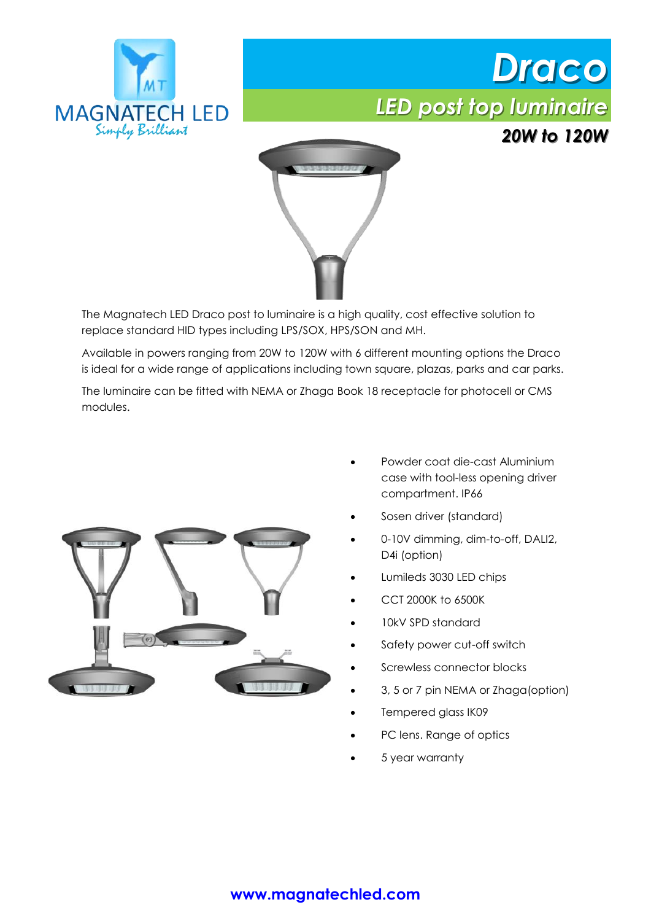





The Magnatech LED Draco post to luminaire is a high quality, cost effective solution to replace standard HID types including LPS/SOX, HPS/SON and MH.

Available in powers ranging from 20W to 120W with 6 different mounting options the Draco is ideal for a wide range of applications including town square, plazas, parks and car parks.

The luminaire can be fitted with NEMA or Zhaga Book 18 receptacle for photocell or CMS modules.



- Powder coat die-cast Aluminium case with tool-less opening driver compartment. IP66
- Sosen driver (standard)
- 0-10V dimming, dim-to-off, DALI2, D<sub>4</sub>i (option)
- Lumileds 3030 LED chips
- CCT 2000K to 6500K
- 10kV SPD standard
- Safety power cut-off switch
- Screwless connector blocks
- 3, 5 or 7 pin NEMA or Zhaga(option)
- Tempered glass IK09
- PC lens. Range of optics
- 5 year warranty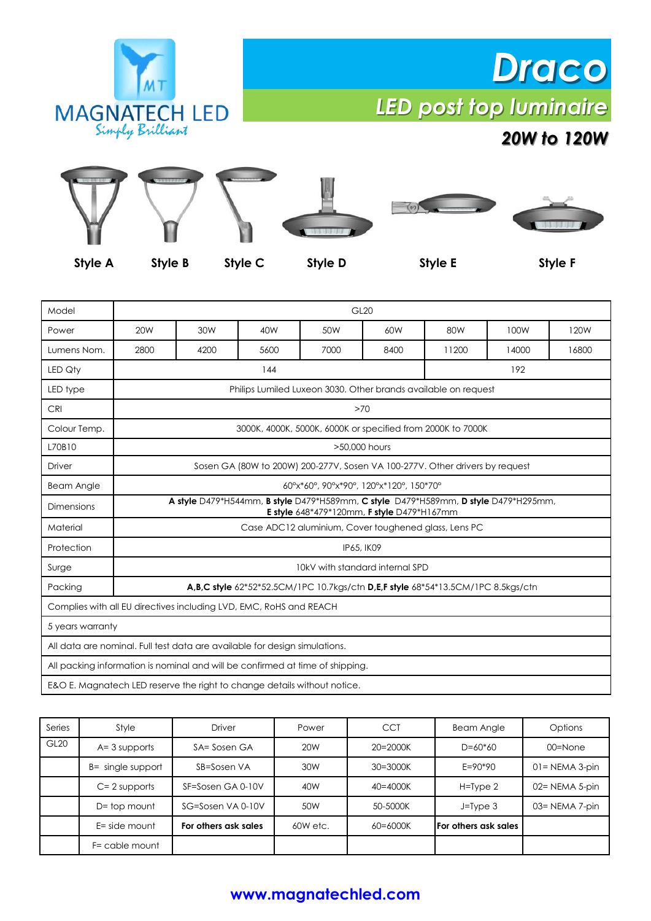

## *Draco LED post top luminaire*

### *20W to 120W*



**Style A Style B Style C Style D Style E Style F**

| Model                                                                         | <b>GL20</b>                                                                                                                       |      |      |      |      |       |       |       |  |  |
|-------------------------------------------------------------------------------|-----------------------------------------------------------------------------------------------------------------------------------|------|------|------|------|-------|-------|-------|--|--|
| Power                                                                         | 20 <sub>W</sub>                                                                                                                   | 30W  | 40W  | 50W  | 60W  | 80W   | 100W  | 120W  |  |  |
| Lumens Nom.                                                                   | 2800                                                                                                                              | 4200 | 5600 | 7000 | 8400 | 11200 | 14000 | 16800 |  |  |
| LED Qty                                                                       | 144                                                                                                                               |      |      |      |      |       | 192   |       |  |  |
| LED type                                                                      | Philips Lumiled Luxeon 3030. Other brands available on request                                                                    |      |      |      |      |       |       |       |  |  |
| <b>CRI</b>                                                                    | >70                                                                                                                               |      |      |      |      |       |       |       |  |  |
| Colour Temp.                                                                  | 3000K, 4000K, 5000K, 6000K or specified from 2000K to 7000K                                                                       |      |      |      |      |       |       |       |  |  |
| L70B10                                                                        | >50,000 hours                                                                                                                     |      |      |      |      |       |       |       |  |  |
| Driver                                                                        | Sosen GA (80W to 200W) 200-277V, Sosen VA 100-277V. Other drivers by request                                                      |      |      |      |      |       |       |       |  |  |
| <b>Beam Angle</b>                                                             | 60°x*60°, 90°x*90°, 120°x*120°, 150*70°                                                                                           |      |      |      |      |       |       |       |  |  |
| <b>Dimensions</b>                                                             | A style D479*H544mm, B style D479*H589mm, C style D479*H589mm, D style D479*H295mm,<br>E style 648*479*120mm, F style D479*H167mm |      |      |      |      |       |       |       |  |  |
| Material                                                                      | Case ADC12 aluminium, Cover toughened glass, Lens PC                                                                              |      |      |      |      |       |       |       |  |  |
| Protection                                                                    | IP65, IK09                                                                                                                        |      |      |      |      |       |       |       |  |  |
| Surge                                                                         | 10kV with standard internal SPD                                                                                                   |      |      |      |      |       |       |       |  |  |
| Packing                                                                       | <b>A,B,C style</b> $62*52*52.5CM/1PC 10.7kgs/ctn$ <b>D,E,F style</b> $68*54*13.5CM/1PC 8.5kgs/ctn$                                |      |      |      |      |       |       |       |  |  |
| Complies with all EU directives including LVD, EMC, RoHS and REACH            |                                                                                                                                   |      |      |      |      |       |       |       |  |  |
| 5 years warranty                                                              |                                                                                                                                   |      |      |      |      |       |       |       |  |  |
| All data are nominal. Full test data are available for design simulations.    |                                                                                                                                   |      |      |      |      |       |       |       |  |  |
| All packing information is nominal and will be confirmed at time of shipping. |                                                                                                                                   |      |      |      |      |       |       |       |  |  |
| E&O E. Magnatech LED reserve the right to change details without notice.      |                                                                                                                                   |      |      |      |      |       |       |       |  |  |

| Series           | Style             | Driver               | Power           | <b>CCT</b>   | <b>Beam Angle</b>           | Options            |
|------------------|-------------------|----------------------|-----------------|--------------|-----------------------------|--------------------|
| GL <sub>20</sub> | $A = 3$ supports  | SA= Sosen GA         | 20 <sub>W</sub> | $20 = 2000K$ | $D=60*60$                   | $00 =$ None        |
|                  | B= single support | SB=Sosen VA          | 30W             | $30 = 3000K$ | $E = 90*90$                 | $01 = NEMA 3-pin$  |
|                  | $C = 2$ supports  | SF=Sosen GA 0-10V    | 40W             | $40 = 4000K$ | $H = Type 2$                | $02 = NEMA 5$ -pin |
|                  | $D = top$ mount   | SG=Sosen VA 0-10V    | 50W             | 50-5000K     | $J = Type 3$                | 03= NEMA 7-pin     |
|                  | E= side mount     | For others ask sales | 60W etc.        | 60=6000K     | <b>For others ask sales</b> |                    |
|                  | F= cable mount    |                      |                 |              |                             |                    |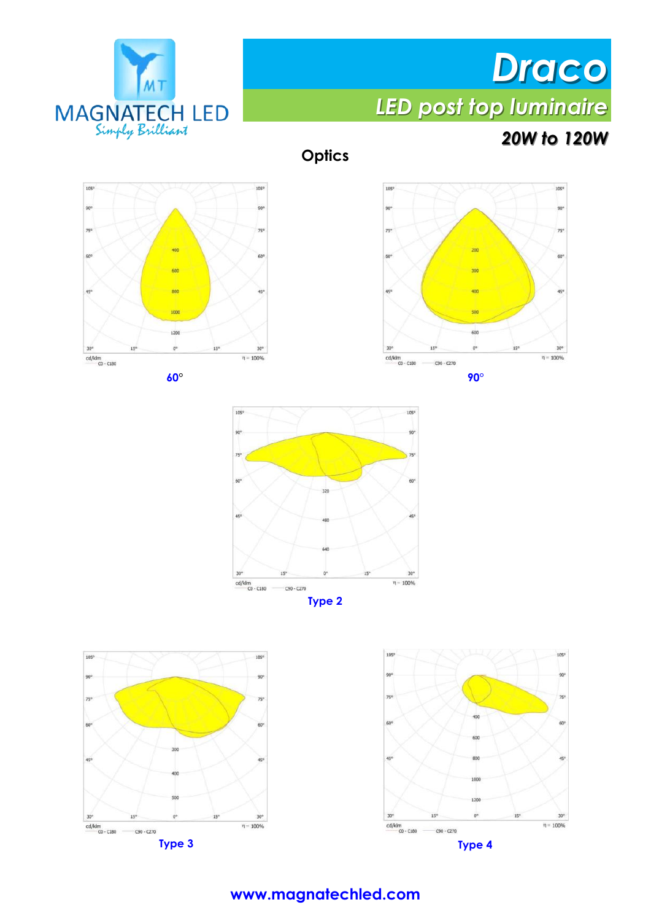

# *Draco LED post top luminaire*

## *20W to 120W*

**Optics**





 $10<sup>6</sup>$ 105  $205$ 1K  $\frac{cd/klm}{CO - C180}$  - C90 - C270  $\eta = 100\%$ 







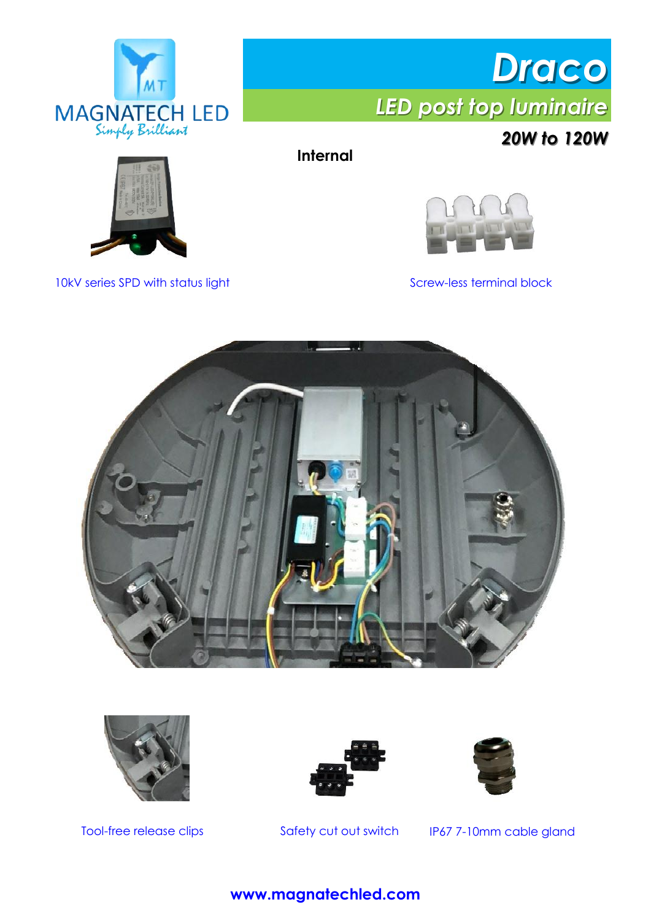

*Draco LED post top luminaire*

*20W to 120W*



**Internal**



10kV series SPD with status light Screw-less terminal block





Tool-free release clips





Safety cut out switch IP67 7-10mm cable gland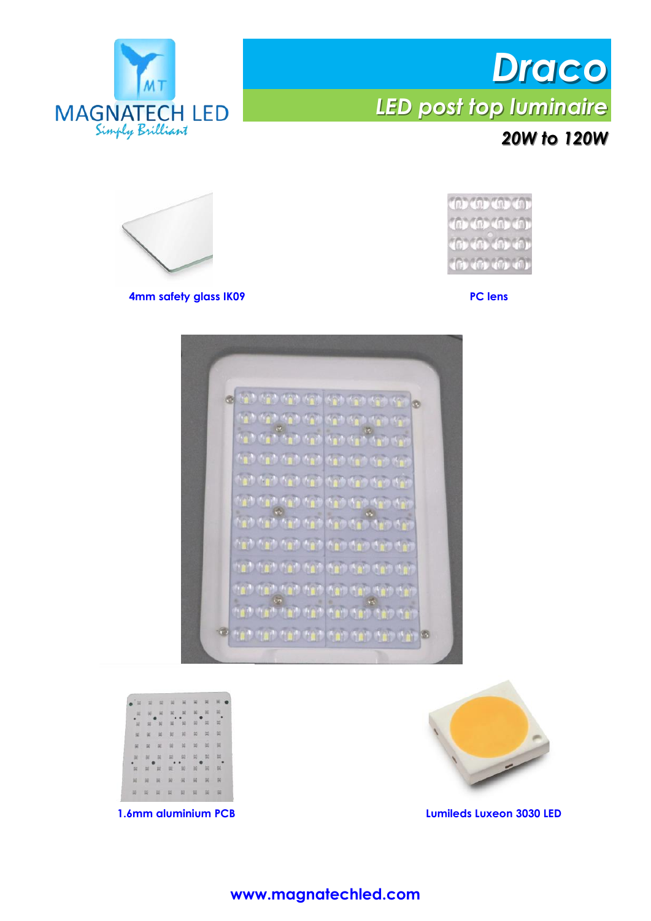

## *Draco LED post top luminaire 20W to 120W*





**4mm safety glass IK09 PC lens**







**1.6mm aluminium PCB Lumileds Luxeon 3030 LED**